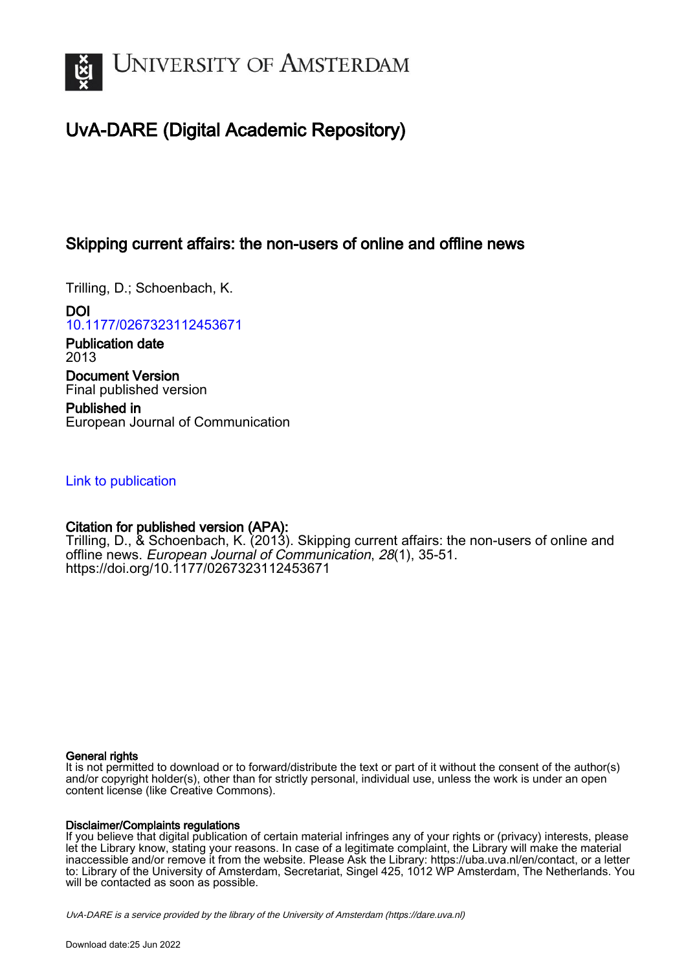

# UvA-DARE (Digital Academic Repository)

# Skipping current affairs: the non-users of online and offline news

Trilling, D.; Schoenbach, K.

DOI [10.1177/0267323112453671](https://doi.org/10.1177/0267323112453671)

Publication date 2013 Document Version Final published version

Published in European Journal of Communication

# [Link to publication](https://dare.uva.nl/personal/pure/en/publications/skipping-current-affairs-the-nonusers-of-online-and-offline-news(fa50b678-b1fa-4755-8231-b941e48d7bd8).html)

# Citation for published version (APA):

Trilling, D., & Schoenbach, K. (2013). Skipping current affairs: the non-users of online and offline news. European Journal of Communication, 28(1), 35-51. <https://doi.org/10.1177/0267323112453671>

## General rights

It is not permitted to download or to forward/distribute the text or part of it without the consent of the author(s) and/or copyright holder(s), other than for strictly personal, individual use, unless the work is under an open content license (like Creative Commons).

## Disclaimer/Complaints regulations

If you believe that digital publication of certain material infringes any of your rights or (privacy) interests, please let the Library know, stating your reasons. In case of a legitimate complaint, the Library will make the material inaccessible and/or remove it from the website. Please Ask the Library: https://uba.uva.nl/en/contact, or a letter to: Library of the University of Amsterdam, Secretariat, Singel 425, 1012 WP Amsterdam, The Netherlands. You will be contacted as soon as possible.

UvA-DARE is a service provided by the library of the University of Amsterdam (http*s*://dare.uva.nl)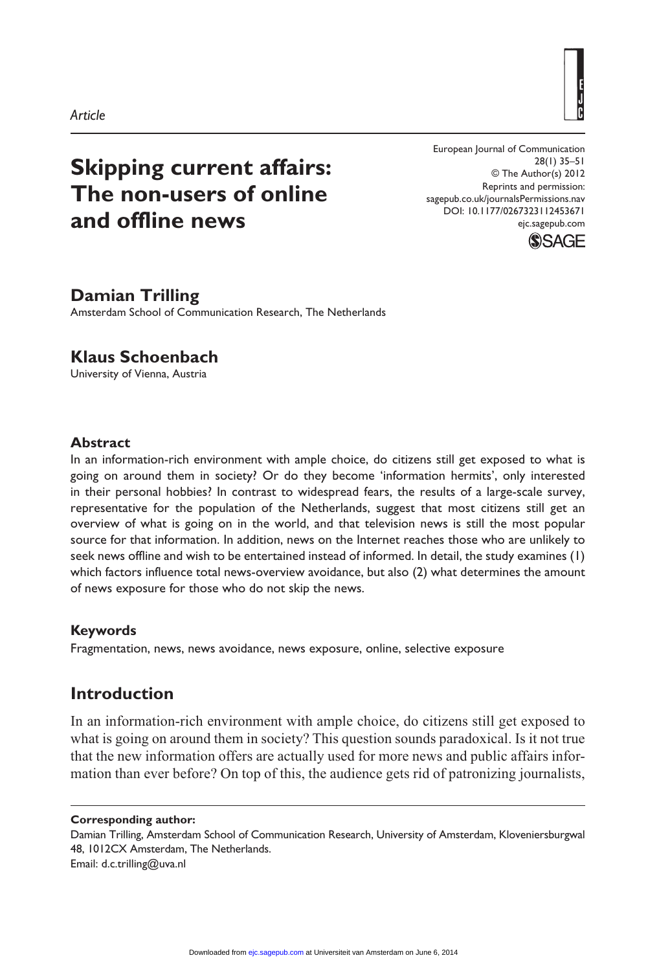#### European Journal of Communication 28(1) 35–51 © The Author(s) 2012 Reprints and permission: sagepub.co.uk/journalsPermissions.nav DOI: 10.1177/0267323112453671 ejc.sagepub.com



# **Skipping current affairs: The non-users of online and offline news**

**Damian Trilling**

Amsterdam School of Communication Research, The Netherlands

# **Klaus Schoenbach**

University of Vienna, Austria

## **Abstract**

In an information-rich environment with ample choice, do citizens still get exposed to what is going on around them in society? Or do they become 'information hermits', only interested in their personal hobbies? In contrast to widespread fears, the results of a large-scale survey, representative for the population of the Netherlands, suggest that most citizens still get an overview of what is going on in the world, and that television news is still the most popular source for that information. In addition, news on the Internet reaches those who are unlikely to seek news offline and wish to be entertained instead of informed. In detail, the study examines (1) which factors influence total news-overview avoidance, but also (2) what determines the amount of news exposure for those who do not skip the news.

## **Keywords**

Fragmentation, news, news avoidance, news exposure, online, selective exposure

## **Introduction**

In an information-rich environment with ample choice, do citizens still get exposed to what is going on around them in society? This question sounds paradoxical. Is it not true that the new information offers are actually used for more news and public affairs information than ever before? On top of this, the audience gets rid of patronizing journalists,

#### **Corresponding author:**

Damian Trilling, Amsterdam School of Communication Research, University of Amsterdam, Kloveniersburgwal 48, 1012CX Amsterdam, The Netherlands. Email: d.c.trilling@uva.nl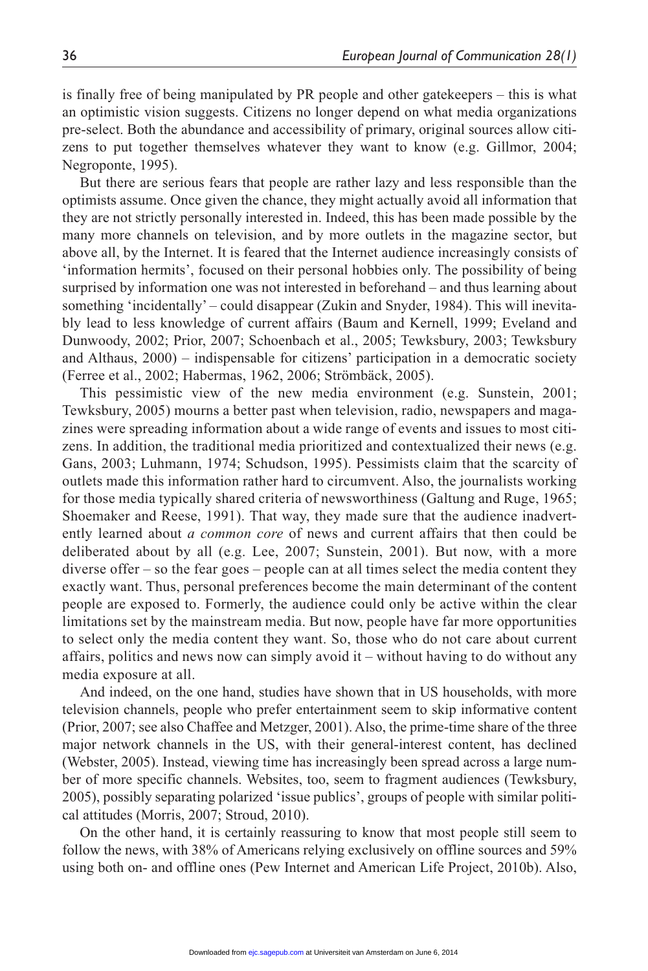is finally free of being manipulated by PR people and other gatekeepers – this is what an optimistic vision suggests. Citizens no longer depend on what media organizations pre-select. Both the abundance and accessibility of primary, original sources allow citizens to put together themselves whatever they want to know (e.g. Gillmor, 2004; Negroponte, 1995).

But there are serious fears that people are rather lazy and less responsible than the optimists assume. Once given the chance, they might actually avoid all information that they are not strictly personally interested in. Indeed, this has been made possible by the many more channels on television, and by more outlets in the magazine sector, but above all, by the Internet. It is feared that the Internet audience increasingly consists of 'information hermits', focused on their personal hobbies only. The possibility of being surprised by information one was not interested in beforehand – and thus learning about something 'incidentally' – could disappear (Zukin and Snyder, 1984). This will inevitably lead to less knowledge of current affairs (Baum and Kernell, 1999; Eveland and Dunwoody, 2002; Prior, 2007; Schoenbach et al., 2005; Tewksbury, 2003; Tewksbury and Althaus, 2000) – indispensable for citizens' participation in a democratic society (Ferree et al., 2002; Habermas, 1962, 2006; Strömbäck, 2005).

This pessimistic view of the new media environment (e.g. Sunstein, 2001; Tewksbury, 2005) mourns a better past when television, radio, newspapers and magazines were spreading information about a wide range of events and issues to most citizens. In addition, the traditional media prioritized and contextualized their news (e.g. Gans, 2003; Luhmann, 1974; Schudson, 1995). Pessimists claim that the scarcity of outlets made this information rather hard to circumvent. Also, the journalists working for those media typically shared criteria of newsworthiness (Galtung and Ruge, 1965; Shoemaker and Reese, 1991). That way, they made sure that the audience inadvertently learned about *a common core* of news and current affairs that then could be deliberated about by all (e.g. Lee, 2007; Sunstein, 2001). But now, with a more diverse offer – so the fear goes – people can at all times select the media content they exactly want. Thus, personal preferences become the main determinant of the content people are exposed to. Formerly, the audience could only be active within the clear limitations set by the mainstream media. But now, people have far more opportunities to select only the media content they want. So, those who do not care about current affairs, politics and news now can simply avoid it – without having to do without any media exposure at all.

And indeed, on the one hand, studies have shown that in US households, with more television channels, people who prefer entertainment seem to skip informative content (Prior, 2007; see also Chaffee and Metzger, 2001). Also, the prime-time share of the three major network channels in the US, with their general-interest content, has declined (Webster, 2005). Instead, viewing time has increasingly been spread across a large number of more specific channels. Websites, too, seem to fragment audiences (Tewksbury, 2005), possibly separating polarized 'issue publics', groups of people with similar political attitudes (Morris, 2007; Stroud, 2010).

On the other hand, it is certainly reassuring to know that most people still seem to follow the news, with 38% of Americans relying exclusively on offline sources and 59% using both on- and offline ones (Pew Internet and American Life Project, 2010b). Also,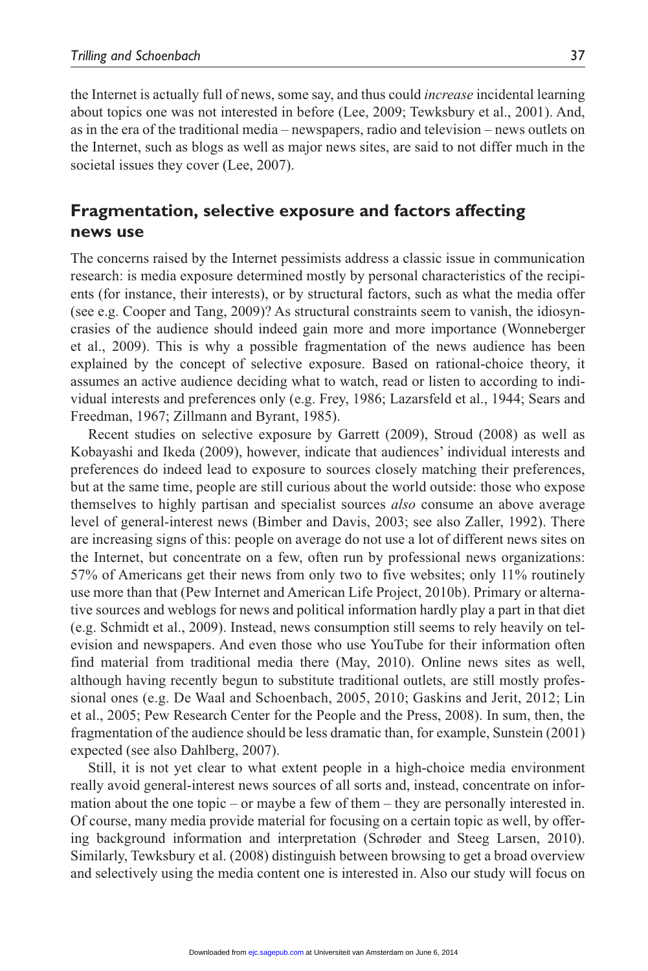the Internet is actually full of news, some say, and thus could *increase* incidental learning about topics one was not interested in before (Lee, 2009; Tewksbury et al., 2001). And, as in the era of the traditional media – newspapers, radio and television – news outlets on the Internet, such as blogs as well as major news sites, are said to not differ much in the societal issues they cover (Lee, 2007).

## **Fragmentation, selective exposure and factors affecting news use**

The concerns raised by the Internet pessimists address a classic issue in communication research: is media exposure determined mostly by personal characteristics of the recipients (for instance, their interests), or by structural factors, such as what the media offer (see e.g. Cooper and Tang, 2009)? As structural constraints seem to vanish, the idiosyncrasies of the audience should indeed gain more and more importance (Wonneberger et al., 2009). This is why a possible fragmentation of the news audience has been explained by the concept of selective exposure. Based on rational-choice theory, it assumes an active audience deciding what to watch, read or listen to according to individual interests and preferences only (e.g. Frey, 1986; Lazarsfeld et al., 1944; Sears and Freedman, 1967; Zillmann and Byrant, 1985).

Recent studies on selective exposure by Garrett (2009), Stroud (2008) as well as Kobayashi and Ikeda (2009), however, indicate that audiences' individual interests and preferences do indeed lead to exposure to sources closely matching their preferences, but at the same time, people are still curious about the world outside: those who expose themselves to highly partisan and specialist sources *also* consume an above average level of general-interest news (Bimber and Davis, 2003; see also Zaller, 1992). There are increasing signs of this: people on average do not use a lot of different news sites on the Internet, but concentrate on a few, often run by professional news organizations: 57% of Americans get their news from only two to five websites; only 11% routinely use more than that (Pew Internet and American Life Project, 2010b). Primary or alternative sources and weblogs for news and political information hardly play a part in that diet (e.g. Schmidt et al., 2009). Instead, news consumption still seems to rely heavily on television and newspapers. And even those who use YouTube for their information often find material from traditional media there (May, 2010). Online news sites as well, although having recently begun to substitute traditional outlets, are still mostly professional ones (e.g. De Waal and Schoenbach, 2005, 2010; Gaskins and Jerit, 2012; Lin et al., 2005; Pew Research Center for the People and the Press, 2008). In sum, then, the fragmentation of the audience should be less dramatic than, for example, Sunstein (2001) expected (see also Dahlberg, 2007).

Still, it is not yet clear to what extent people in a high-choice media environment really avoid general-interest news sources of all sorts and, instead, concentrate on information about the one topic – or maybe a few of them – they are personally interested in. Of course, many media provide material for focusing on a certain topic as well, by offering background information and interpretation (Schrøder and Steeg Larsen, 2010). Similarly, Tewksbury et al. (2008) distinguish between browsing to get a broad overview and selectively using the media content one is interested in. Also our study will focus on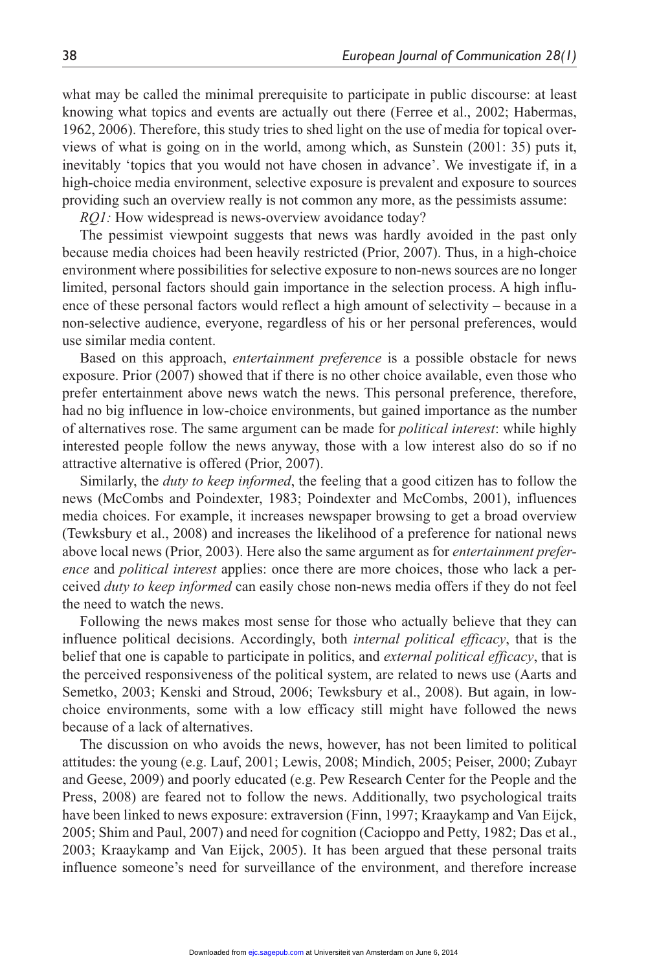what may be called the minimal prerequisite to participate in public discourse: at least knowing what topics and events are actually out there (Ferree et al., 2002; Habermas, 1962, 2006). Therefore, this study tries to shed light on the use of media for topical overviews of what is going on in the world, among which, as Sunstein (2001: 35) puts it, inevitably 'topics that you would not have chosen in advance'. We investigate if, in a high-choice media environment, selective exposure is prevalent and exposure to sources providing such an overview really is not common any more, as the pessimists assume:

*RQ1:* How widespread is news-overview avoidance today?

The pessimist viewpoint suggests that news was hardly avoided in the past only because media choices had been heavily restricted (Prior, 2007). Thus, in a high-choice environment where possibilities for selective exposure to non-news sources are no longer limited, personal factors should gain importance in the selection process. A high influence of these personal factors would reflect a high amount of selectivity – because in a non-selective audience, everyone, regardless of his or her personal preferences, would use similar media content.

Based on this approach, *entertainment preference* is a possible obstacle for news exposure. Prior (2007) showed that if there is no other choice available, even those who prefer entertainment above news watch the news. This personal preference, therefore, had no big influence in low-choice environments, but gained importance as the number of alternatives rose. The same argument can be made for *political interest*: while highly interested people follow the news anyway, those with a low interest also do so if no attractive alternative is offered (Prior, 2007).

Similarly, the *duty to keep informed*, the feeling that a good citizen has to follow the news (McCombs and Poindexter, 1983; Poindexter and McCombs, 2001), influences media choices. For example, it increases newspaper browsing to get a broad overview (Tewksbury et al., 2008) and increases the likelihood of a preference for national news above local news (Prior, 2003). Here also the same argument as for *entertainment preference* and *political interest* applies: once there are more choices, those who lack a perceived *duty to keep informed* can easily chose non-news media offers if they do not feel the need to watch the news.

Following the news makes most sense for those who actually believe that they can influence political decisions. Accordingly, both *internal political efficacy*, that is the belief that one is capable to participate in politics, and *external political efficacy*, that is the perceived responsiveness of the political system, are related to news use (Aarts and Semetko, 2003; Kenski and Stroud, 2006; Tewksbury et al., 2008). But again, in lowchoice environments, some with a low efficacy still might have followed the news because of a lack of alternatives.

The discussion on who avoids the news, however, has not been limited to political attitudes: the young (e.g. Lauf, 2001; Lewis, 2008; Mindich, 2005; Peiser, 2000; Zubayr and Geese, 2009) and poorly educated (e.g. Pew Research Center for the People and the Press, 2008) are feared not to follow the news. Additionally, two psychological traits have been linked to news exposure: extraversion (Finn, 1997; Kraaykamp and Van Eijck, 2005; Shim and Paul, 2007) and need for cognition (Cacioppo and Petty, 1982; Das et al., 2003; Kraaykamp and Van Eijck, 2005). It has been argued that these personal traits influence someone's need for surveillance of the environment, and therefore increase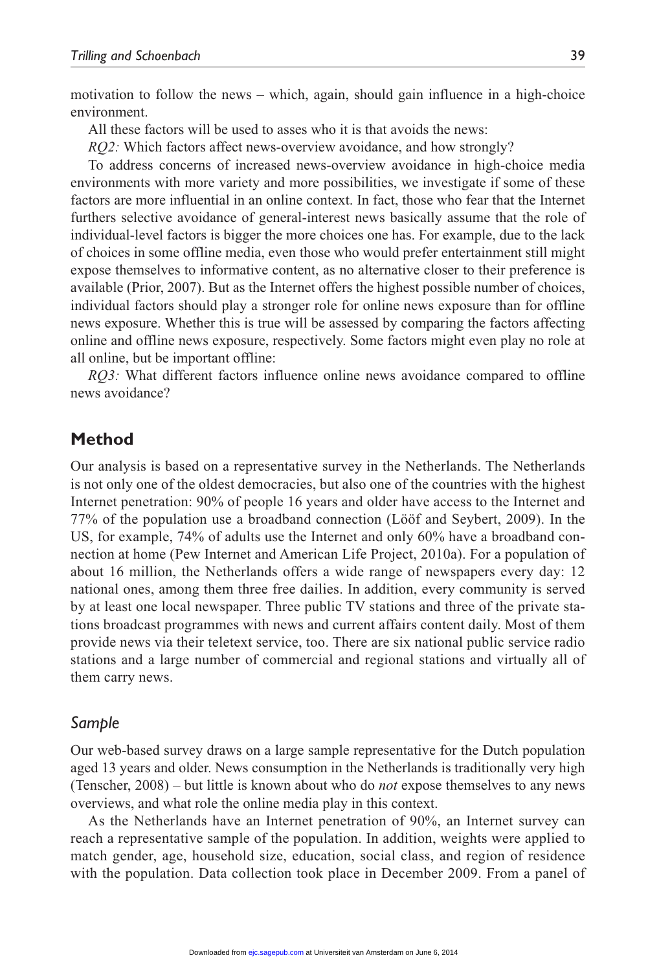motivation to follow the news – which, again, should gain influence in a high-choice environment.

All these factors will be used to asses who it is that avoids the news:

*RQ2:* Which factors affect news-overview avoidance, and how strongly?

To address concerns of increased news-overview avoidance in high-choice media environments with more variety and more possibilities, we investigate if some of these factors are more influential in an online context. In fact, those who fear that the Internet furthers selective avoidance of general-interest news basically assume that the role of individual-level factors is bigger the more choices one has. For example, due to the lack of choices in some offline media, even those who would prefer entertainment still might expose themselves to informative content, as no alternative closer to their preference is available (Prior, 2007). But as the Internet offers the highest possible number of choices, individual factors should play a stronger role for online news exposure than for offline news exposure. Whether this is true will be assessed by comparing the factors affecting online and offline news exposure, respectively. Some factors might even play no role at all online, but be important offline:

*RQ3:* What different factors influence online news avoidance compared to offline news avoidance?

## **Method**

Our analysis is based on a representative survey in the Netherlands. The Netherlands is not only one of the oldest democracies, but also one of the countries with the highest Internet penetration: 90% of people 16 years and older have access to the Internet and 77% of the population use a broadband connection (Lööf and Seybert, 2009). In the US, for example, 74% of adults use the Internet and only 60% have a broadband connection at home (Pew Internet and American Life Project, 2010a). For a population of about 16 million, the Netherlands offers a wide range of newspapers every day: 12 national ones, among them three free dailies. In addition, every community is served by at least one local newspaper. Three public TV stations and three of the private stations broadcast programmes with news and current affairs content daily. Most of them provide news via their teletext service, too. There are six national public service radio stations and a large number of commercial and regional stations and virtually all of them carry news.

#### *Sample*

Our web-based survey draws on a large sample representative for the Dutch population aged 13 years and older. News consumption in the Netherlands is traditionally very high (Tenscher, 2008) – but little is known about who do *not* expose themselves to any news overviews, and what role the online media play in this context.

As the Netherlands have an Internet penetration of 90%, an Internet survey can reach a representative sample of the population. In addition, weights were applied to match gender, age, household size, education, social class, and region of residence with the population. Data collection took place in December 2009. From a panel of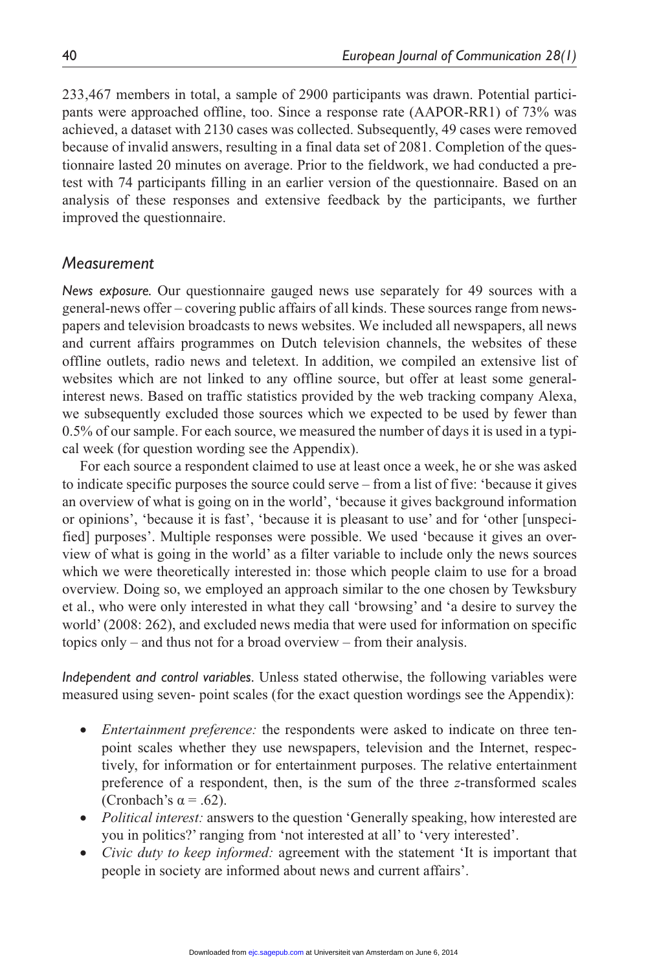233,467 members in total, a sample of 2900 participants was drawn. Potential participants were approached offline, too. Since a response rate (AAPOR-RR1) of 73% was achieved, a dataset with 2130 cases was collected. Subsequently, 49 cases were removed because of invalid answers, resulting in a final data set of 2081. Completion of the questionnaire lasted 20 minutes on average. Prior to the fieldwork, we had conducted a pretest with 74 participants filling in an earlier version of the questionnaire. Based on an analysis of these responses and extensive feedback by the participants, we further improved the questionnaire.

## *Measurement*

*News exposure.* Our questionnaire gauged news use separately for 49 sources with a general-news offer – covering public affairs of all kinds. These sources range from newspapers and television broadcasts to news websites. We included all newspapers, all news and current affairs programmes on Dutch television channels, the websites of these offline outlets, radio news and teletext. In addition, we compiled an extensive list of websites which are not linked to any offline source, but offer at least some generalinterest news. Based on traffic statistics provided by the web tracking company Alexa, we subsequently excluded those sources which we expected to be used by fewer than 0.5% of our sample. For each source, we measured the number of days it is used in a typical week (for question wording see the Appendix).

For each source a respondent claimed to use at least once a week, he or she was asked to indicate specific purposes the source could serve – from a list of five: 'because it gives an overview of what is going on in the world', 'because it gives background information or opinions', 'because it is fast', 'because it is pleasant to use' and for 'other [unspecified] purposes'. Multiple responses were possible. We used 'because it gives an overview of what is going in the world' as a filter variable to include only the news sources which we were theoretically interested in: those which people claim to use for a broad overview. Doing so, we employed an approach similar to the one chosen by Tewksbury et al., who were only interested in what they call 'browsing' and 'a desire to survey the world' (2008: 262), and excluded news media that were used for information on specific topics only – and thus not for a broad overview – from their analysis.

*Independent and control variables.* Unless stated otherwise, the following variables were measured using seven- point scales (for the exact question wordings see the Appendix):

- *Entertainment preference:* the respondents were asked to indicate on three tenpoint scales whether they use newspapers, television and the Internet, respectively, for information or for entertainment purposes. The relative entertainment preference of a respondent, then, is the sum of the three *z*-transformed scales (Cronbach's  $\alpha$  = .62).
- *Political interest:* answers to the question 'Generally speaking, how interested are you in politics?' ranging from 'not interested at all' to 'very interested'.
- *Civic duty to keep informed:* agreement with the statement 'It is important that people in society are informed about news and current affairs'.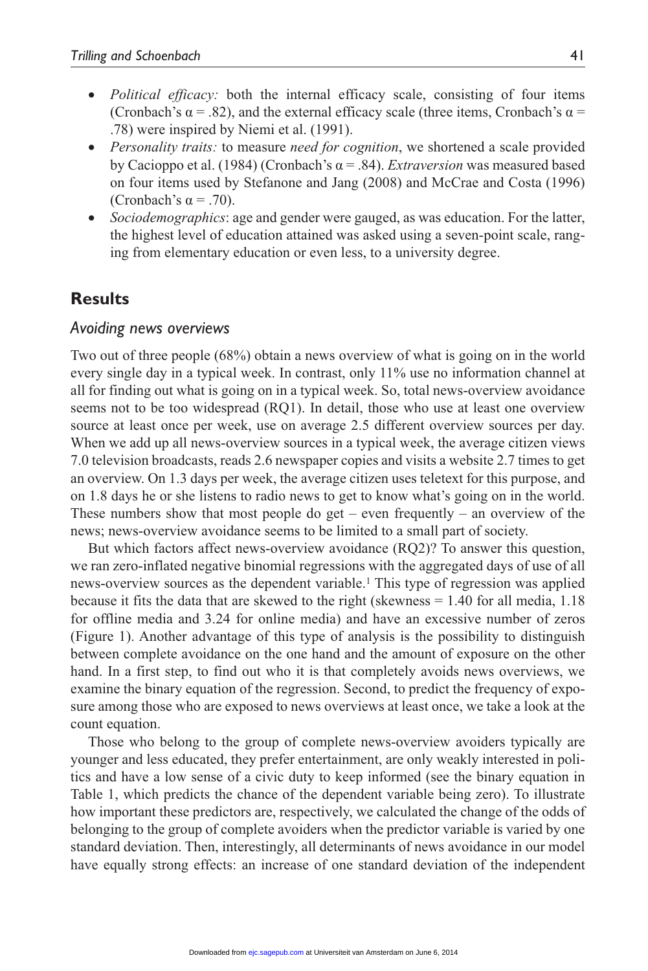- *Political efficacy:* both the internal efficacy scale, consisting of four items (Cronbach's  $\alpha$  = .82), and the external efficacy scale (three items, Cronbach's  $\alpha$  = .78) were inspired by Niemi et al. (1991).
- *Personality traits:* to measure *need for cognition*, we shortened a scale provided by Cacioppo et al. (1984) (Cronbach's α = .84). *Extraversion* was measured based on four items used by Stefanone and Jang (2008) and McCrae and Costa (1996) (Cronbach's  $\alpha$  = .70).
- *Sociodemographics*: age and gender were gauged, as was education. For the latter, the highest level of education attained was asked using a seven-point scale, ranging from elementary education or even less, to a university degree.

## **Results**

#### *Avoiding news overviews*

Two out of three people (68%) obtain a news overview of what is going on in the world every single day in a typical week. In contrast, only 11% use no information channel at all for finding out what is going on in a typical week. So, total news-overview avoidance seems not to be too widespread (RQ1). In detail, those who use at least one overview source at least once per week, use on average 2.5 different overview sources per day. When we add up all news-overview sources in a typical week, the average citizen views 7.0 television broadcasts, reads 2.6 newspaper copies and visits a website 2.7 times to get an overview. On 1.3 days per week, the average citizen uses teletext for this purpose, and on 1.8 days he or she listens to radio news to get to know what's going on in the world. These numbers show that most people do get – even frequently – an overview of the news; news-overview avoidance seems to be limited to a small part of society.

But which factors affect news-overview avoidance (RQ2)? To answer this question, we ran zero-inflated negative binomial regressions with the aggregated days of use of all news-overview sources as the dependent variable.1 This type of regression was applied because it fits the data that are skewed to the right (skewness = 1.40 for all media, 1.18 for offline media and 3.24 for online media) and have an excessive number of zeros (Figure 1). Another advantage of this type of analysis is the possibility to distinguish between complete avoidance on the one hand and the amount of exposure on the other hand. In a first step, to find out who it is that completely avoids news overviews, we examine the binary equation of the regression. Second, to predict the frequency of exposure among those who are exposed to news overviews at least once, we take a look at the count equation.

Those who belong to the group of complete news-overview avoiders typically are younger and less educated, they prefer entertainment, are only weakly interested in politics and have a low sense of a civic duty to keep informed (see the binary equation in Table 1, which predicts the chance of the dependent variable being zero). To illustrate how important these predictors are, respectively, we calculated the change of the odds of belonging to the group of complete avoiders when the predictor variable is varied by one standard deviation. Then, interestingly, all determinants of news avoidance in our model have equally strong effects: an increase of one standard deviation of the independent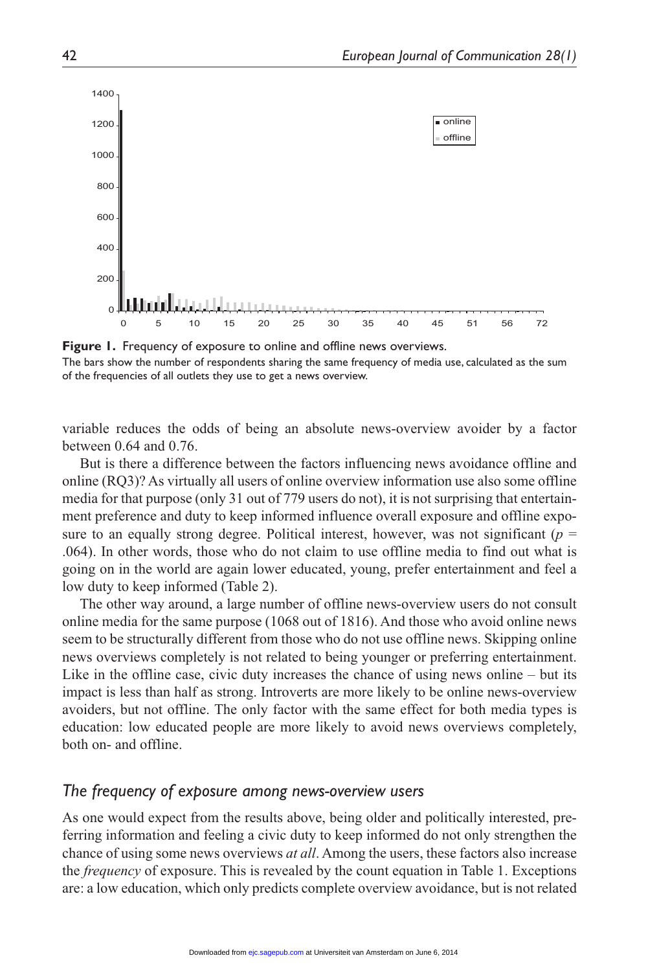

**Figure 1.** Frequency of exposure to online and offline news overviews. The bars show the number of respondents sharing the same frequency of media use, calculated as the sum of the frequencies of all outlets they use to get a news overview.

variable reduces the odds of being an absolute news-overview avoider by a factor between 0.64 and 0.76.

But is there a difference between the factors influencing news avoidance offline and online (RQ3)? As virtually all users of online overview information use also some offline media for that purpose (only 31 out of 779 users do not), it is not surprising that entertainment preference and duty to keep informed influence overall exposure and offline exposure to an equally strong degree. Political interest, however, was not significant ( $p =$ .064). In other words, those who do not claim to use offline media to find out what is going on in the world are again lower educated, young, prefer entertainment and feel a low duty to keep informed (Table 2).

The other way around, a large number of offline news-overview users do not consult online media for the same purpose (1068 out of 1816). And those who avoid online news seem to be structurally different from those who do not use offline news. Skipping online news overviews completely is not related to being younger or preferring entertainment. Like in the offline case, civic duty increases the chance of using news online – but its impact is less than half as strong. Introverts are more likely to be online news-overview avoiders, but not offline. The only factor with the same effect for both media types is education: low educated people are more likely to avoid news overviews completely, both on- and offline.

### *The frequency of exposure among news-overview users*

As one would expect from the results above, being older and politically interested, preferring information and feeling a civic duty to keep informed do not only strengthen the chance of using some news overviews *at all*. Among the users, these factors also increase the *frequency* of exposure. This is revealed by the count equation in Table 1. Exceptions are: a low education, which only predicts complete overview avoidance, but is not related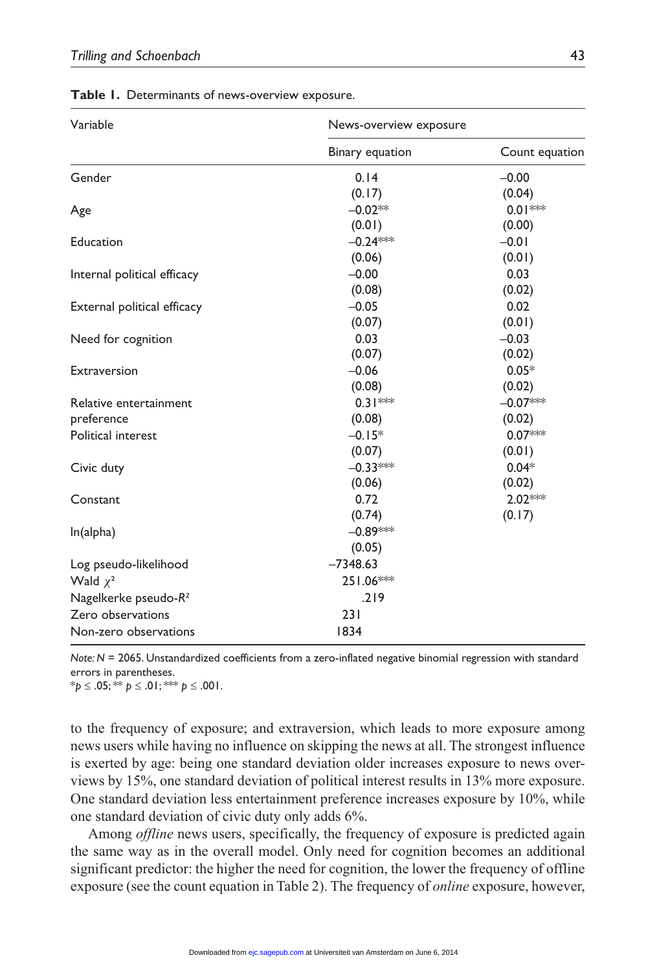| Variable                         | News-overview exposure |                |  |
|----------------------------------|------------------------|----------------|--|
|                                  | Binary equation        | Count equation |  |
| Gender                           | 0.14                   | $-0.00$        |  |
|                                  | (0.17)                 | (0.04)         |  |
| Age                              | $-0.02**$              | $0.01***$      |  |
|                                  | (0.01)                 | (0.00)         |  |
| Education                        | $-0.24***$             | $-0.01$        |  |
|                                  | (0.06)                 | (0.01)         |  |
| Internal political efficacy      | $-0.00$                | 0.03           |  |
|                                  | (0.08)                 | (0.02)         |  |
| External political efficacy      | $-0.05$                | 0.02           |  |
|                                  | (0.07)                 | (0.01)         |  |
| Need for cognition               | 0.03                   | $-0.03$        |  |
|                                  | (0.07)                 | (0.02)         |  |
| Extraversion                     | $-0.06$                | $0.05*$        |  |
|                                  | (0.08)                 | (0.02)         |  |
| Relative entertainment           | $0.31***$              | $-0.07***$     |  |
| preference                       | (0.08)                 | (0.02)         |  |
| Political interest               | $-0.15*$               | $0.07***$      |  |
|                                  | (0.07)                 | (0.01)         |  |
| Civic duty                       | $-0.33***$             | $0.04*$        |  |
|                                  | (0.06)                 | (0.02)         |  |
| Constant                         | 0.72                   | 2.02***        |  |
|                                  | (0.74)                 | (0.17)         |  |
| ln(alpha)                        | $-0.89***$             |                |  |
|                                  | (0.05)                 |                |  |
| Log pseudo-likelihood            | $-7348.63$             |                |  |
| Wald $\chi^2$                    | 251.06***              |                |  |
| Nagelkerke pseudo-R <sup>2</sup> | .219                   |                |  |
| Zero observations                | 231                    |                |  |

**Table 1.** Determinants of news-overview exposure.

*Note: N* = 2065. Unstandardized coefficients from a zero-inflated negative binomial regression with standard errors in parentheses.

\**p* ≤ .05; \*\* *p* ≤ .01; \*\*\* *p* ≤ .001.

Non-zero observations 1834

to the frequency of exposure; and extraversion, which leads to more exposure among news users while having no influence on skipping the news at all. The strongest influence is exerted by age: being one standard deviation older increases exposure to news overviews by 15%, one standard deviation of political interest results in 13% more exposure. One standard deviation less entertainment preference increases exposure by 10%, while one standard deviation of civic duty only adds 6%.

Among *offline* news users, specifically, the frequency of exposure is predicted again the same way as in the overall model. Only need for cognition becomes an additional significant predictor: the higher the need for cognition, the lower the frequency of offline exposure (see the count equation in Table 2). The frequency of *online* exposure, however,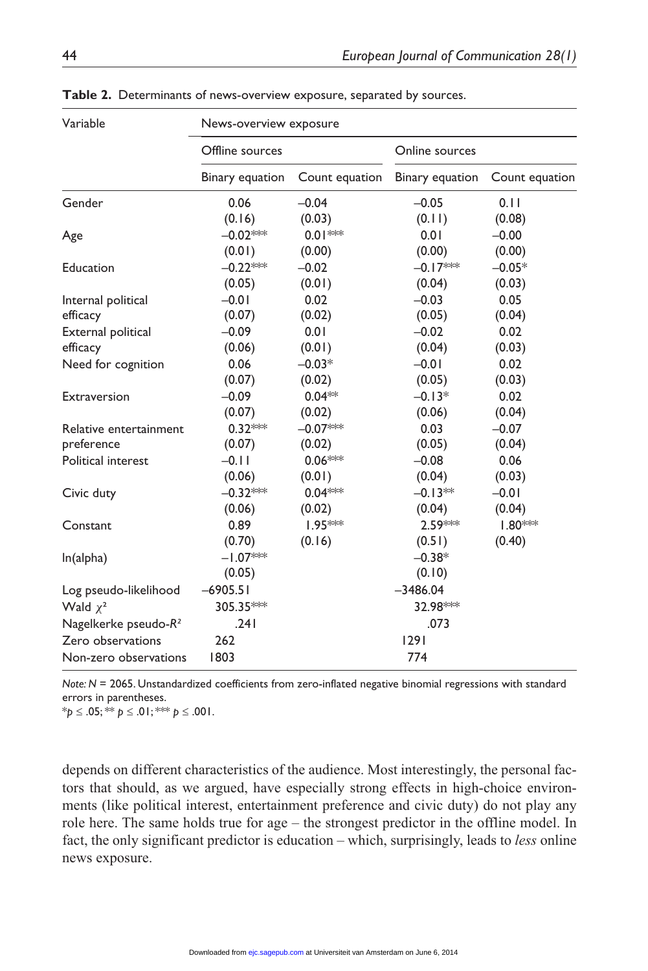| Variable                         | News-overview exposure |                |                 |                |
|----------------------------------|------------------------|----------------|-----------------|----------------|
|                                  | Offline sources        |                | Online sources  |                |
|                                  | Binary equation        | Count equation | Binary equation | Count equation |
| Gender                           | 0.06                   | $-0.04$        | $-0.05$         | 0.11           |
|                                  | (0.16)                 | (0.03)         | (0.11)          | (0.08)         |
| Age                              | $-0.02***$             | $0.01***$      | 0.01            | $-0.00$        |
|                                  | (0.01)                 | (0.00)         | (0.00)          | (0.00)         |
| Education                        | $-0.22***$             | $-0.02$        | $-0.17***$      | $-0.05*$       |
|                                  | (0.05)                 | (0.01)         | (0.04)          | (0.03)         |
| Internal political               | $-0.01$                | 0.02           | $-0.03$         | 0.05           |
| efficacy                         | (0.07)                 | (0.02)         | (0.05)          | (0.04)         |
| External political               | $-0.09$                | 0.01           | $-0.02$         | 0.02           |
| efficacy                         | (0.06)                 | (0.01)         | (0.04)          | (0.03)         |
| Need for cognition               | 0.06                   | $-0.03*$       | $-0.01$         | 0.02           |
|                                  | (0.07)                 | (0.02)         | (0.05)          | (0.03)         |
| Extraversion                     | $-0.09$                | $0.04***$      | $-0.13*$        | 0.02           |
|                                  | (0.07)                 | (0.02)         | (0.06)          | (0.04)         |
| Relative entertainment           | $0.32***$              | $-0.07***$     | 0.03            | $-0.07$        |
| preference                       | (0.07)                 | (0.02)         | (0.05)          | (0.04)         |
| Political interest               | $-0.11$                | $0.06***$      | $-0.08$         | 0.06           |
|                                  | (0.06)                 | (0.01)         | (0.04)          | (0.03)         |
| Civic duty                       | $-0.32***$             | $0.04***$      | $-0.13**$       | $-0.01$        |
|                                  | (0.06)                 | (0.02)         | (0.04)          | (0.04)         |
| Constant                         | 0.89                   | $1.95***$      | $2.59***$       | $1.80***$      |
|                                  | (0.70)                 | (0.16)         | (0.51)          | (0.40)         |
| ln(alpha)                        | $-1.07***$             |                | $-0.38*$        |                |
|                                  | (0.10)<br>(0.05)       |                |                 |                |
| Log pseudo-likelihood            | $-6905.51$             |                | $-3486.04$      |                |
| Wald $\chi^2$                    | 305.35***              |                | 32.98***        |                |
| Nagelkerke pseudo-R <sup>2</sup> | .241                   |                | .073            |                |
| Zero observations                | 262                    | 1291           |                 |                |
| Non-zero observations            | 1803                   |                | 774             |                |

**Table 2.** Determinants of news-overview exposure, separated by sources.

*Note: N* = 2065. Unstandardized coefficients from zero-inflated negative binomial regressions with standard errors in parentheses.

\**p* ≤ .05; \*\* *p* ≤ .01; \*\*\* *p* ≤ .001.

depends on different characteristics of the audience. Most interestingly, the personal factors that should, as we argued, have especially strong effects in high-choice environments (like political interest, entertainment preference and civic duty) do not play any role here. The same holds true for age – the strongest predictor in the offline model. In fact, the only significant predictor is education – which, surprisingly, leads to *less* online news exposure.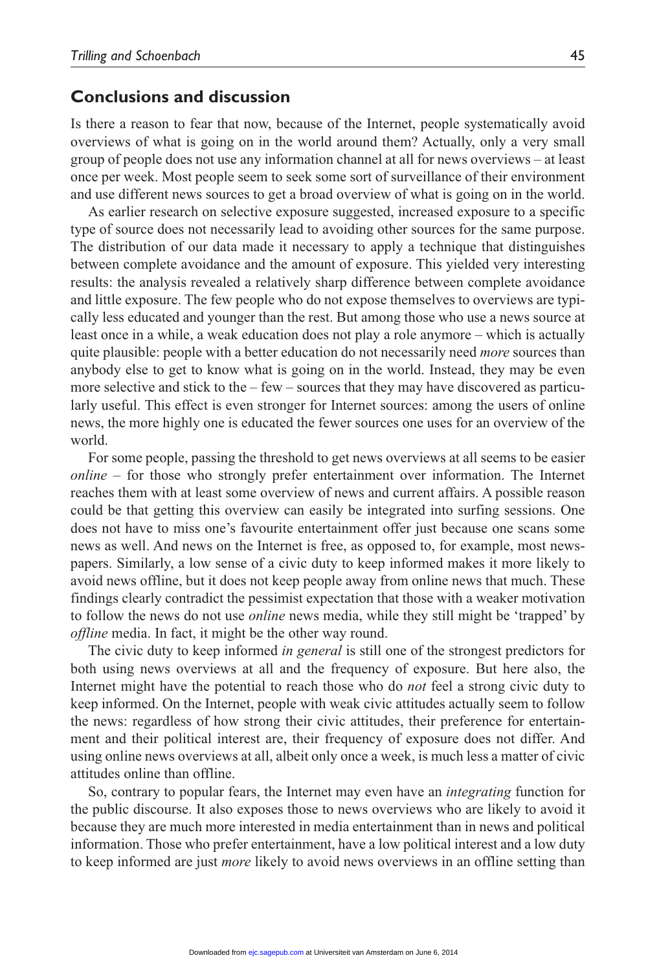## **Conclusions and discussion**

Is there a reason to fear that now, because of the Internet, people systematically avoid overviews of what is going on in the world around them? Actually, only a very small group of people does not use any information channel at all for news overviews – at least once per week. Most people seem to seek some sort of surveillance of their environment and use different news sources to get a broad overview of what is going on in the world.

As earlier research on selective exposure suggested, increased exposure to a specific type of source does not necessarily lead to avoiding other sources for the same purpose. The distribution of our data made it necessary to apply a technique that distinguishes between complete avoidance and the amount of exposure. This yielded very interesting results: the analysis revealed a relatively sharp difference between complete avoidance and little exposure. The few people who do not expose themselves to overviews are typically less educated and younger than the rest. But among those who use a news source at least once in a while, a weak education does not play a role anymore – which is actually quite plausible: people with a better education do not necessarily need *more* sources than anybody else to get to know what is going on in the world. Instead, they may be even more selective and stick to the  $-$  few  $-$  sources that they may have discovered as particularly useful. This effect is even stronger for Internet sources: among the users of online news, the more highly one is educated the fewer sources one uses for an overview of the world.

For some people, passing the threshold to get news overviews at all seems to be easier *online* – for those who strongly prefer entertainment over information. The Internet reaches them with at least some overview of news and current affairs. A possible reason could be that getting this overview can easily be integrated into surfing sessions. One does not have to miss one's favourite entertainment offer just because one scans some news as well. And news on the Internet is free, as opposed to, for example, most newspapers. Similarly, a low sense of a civic duty to keep informed makes it more likely to avoid news offline, but it does not keep people away from online news that much. These findings clearly contradict the pessimist expectation that those with a weaker motivation to follow the news do not use *online* news media, while they still might be 'trapped' by *offline* media. In fact, it might be the other way round.

The civic duty to keep informed *in general* is still one of the strongest predictors for both using news overviews at all and the frequency of exposure. But here also, the Internet might have the potential to reach those who do *not* feel a strong civic duty to keep informed. On the Internet, people with weak civic attitudes actually seem to follow the news: regardless of how strong their civic attitudes, their preference for entertainment and their political interest are, their frequency of exposure does not differ. And using online news overviews at all, albeit only once a week, is much less a matter of civic attitudes online than offline.

So, contrary to popular fears, the Internet may even have an *integrating* function for the public discourse. It also exposes those to news overviews who are likely to avoid it because they are much more interested in media entertainment than in news and political information. Those who prefer entertainment, have a low political interest and a low duty to keep informed are just *more* likely to avoid news overviews in an offline setting than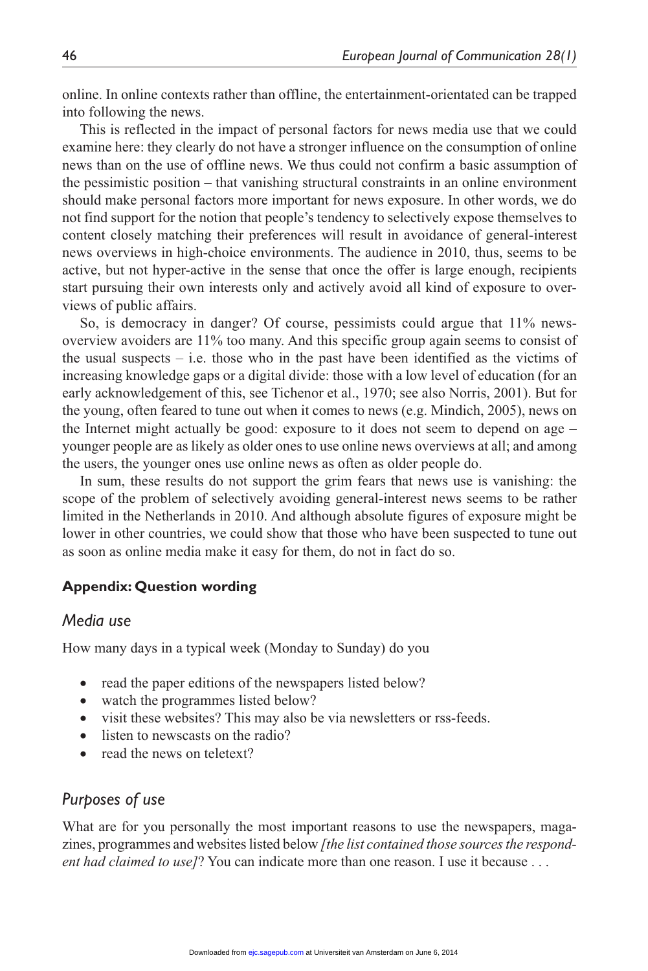online. In online contexts rather than offline, the entertainment-orientated can be trapped into following the news.

This is reflected in the impact of personal factors for news media use that we could examine here: they clearly do not have a stronger influence on the consumption of online news than on the use of offline news. We thus could not confirm a basic assumption of the pessimistic position – that vanishing structural constraints in an online environment should make personal factors more important for news exposure. In other words, we do not find support for the notion that people's tendency to selectively expose themselves to content closely matching their preferences will result in avoidance of general-interest news overviews in high-choice environments. The audience in 2010, thus, seems to be active, but not hyper-active in the sense that once the offer is large enough, recipients start pursuing their own interests only and actively avoid all kind of exposure to overviews of public affairs.

So, is democracy in danger? Of course, pessimists could argue that 11% newsoverview avoiders are 11% too many. And this specific group again seems to consist of the usual suspects  $-$  i.e. those who in the past have been identified as the victims of increasing knowledge gaps or a digital divide: those with a low level of education (for an early acknowledgement of this, see Tichenor et al., 1970; see also Norris, 2001). But for the young, often feared to tune out when it comes to news (e.g. Mindich, 2005), news on the Internet might actually be good: exposure to it does not seem to depend on age – younger people are as likely as older ones to use online news overviews at all; and among the users, the younger ones use online news as often as older people do.

In sum, these results do not support the grim fears that news use is vanishing: the scope of the problem of selectively avoiding general-interest news seems to be rather limited in the Netherlands in 2010. And although absolute figures of exposure might be lower in other countries, we could show that those who have been suspected to tune out as soon as online media make it easy for them, do not in fact do so.

#### **Appendix: Question wording**

#### *Media use*

How many days in a typical week (Monday to Sunday) do you

- read the paper editions of the newspapers listed below?
- watch the programmes listed below?
- visit these websites? This may also be via newsletters or rss-feeds.
- listen to newscasts on the radio?
- read the news on teletext?

## *Purposes of use*

What are for you personally the most important reasons to use the newspapers, magazines, programmes and websites listed below *[the list contained those sources the respondent had claimed to use]*? You can indicate more than one reason. I use it because . . .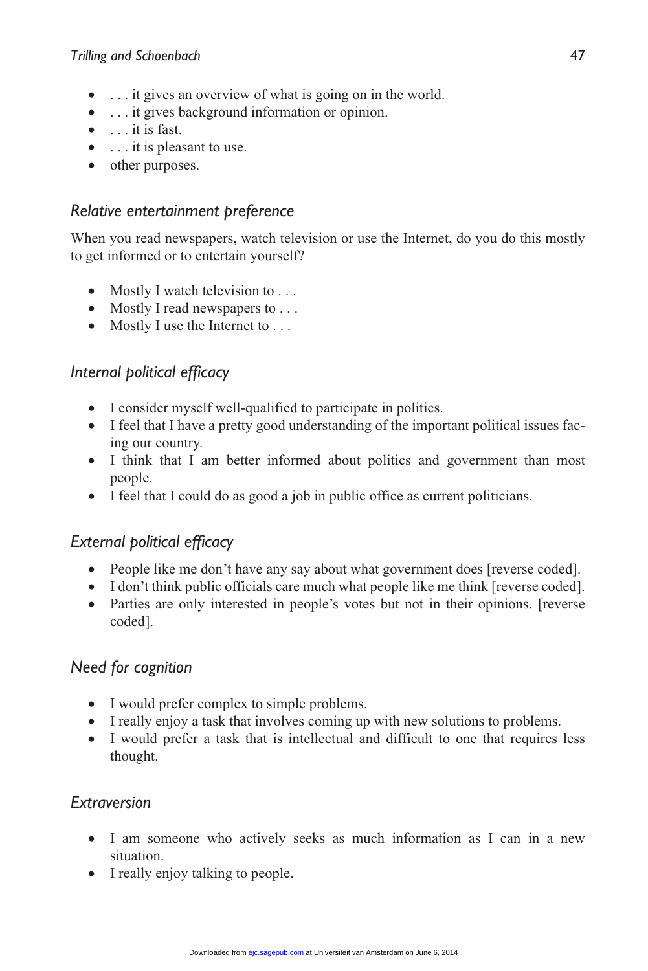- ... it gives an overview of what is going on in the world.
- . . . it gives background information or opinion.
- . . . it is fast.
- $\bullet$  ... it is pleasant to use.
- other purposes.

## *Relative entertainment preference*

When you read newspapers, watch television or use the Internet, do you do this mostly to get informed or to entertain yourself?

- Mostly I watch television to ...
- Mostly I read newspapers to ...
- Mostly I use the Internet to . . .

## *Internal political efficacy*

- I consider myself well-qualified to participate in politics.
- I feel that I have a pretty good understanding of the important political issues facing our country.
- I think that I am better informed about politics and government than most people.
- I feel that I could do as good a job in public office as current politicians.

# *External political efficacy*

- People like me don't have any say about what government does [reverse coded].
- I don't think public officials care much what people like me think [reverse coded].
- Parties are only interested in people's votes but not in their opinions. [reverse coded].

## *Need for cognition*

- I would prefer complex to simple problems.
- I really enjoy a task that involves coming up with new solutions to problems.
- I would prefer a task that is intellectual and difficult to one that requires less thought.

# *Extraversion*

- I am someone who actively seeks as much information as I can in a new situation.
- I really enjoy talking to people.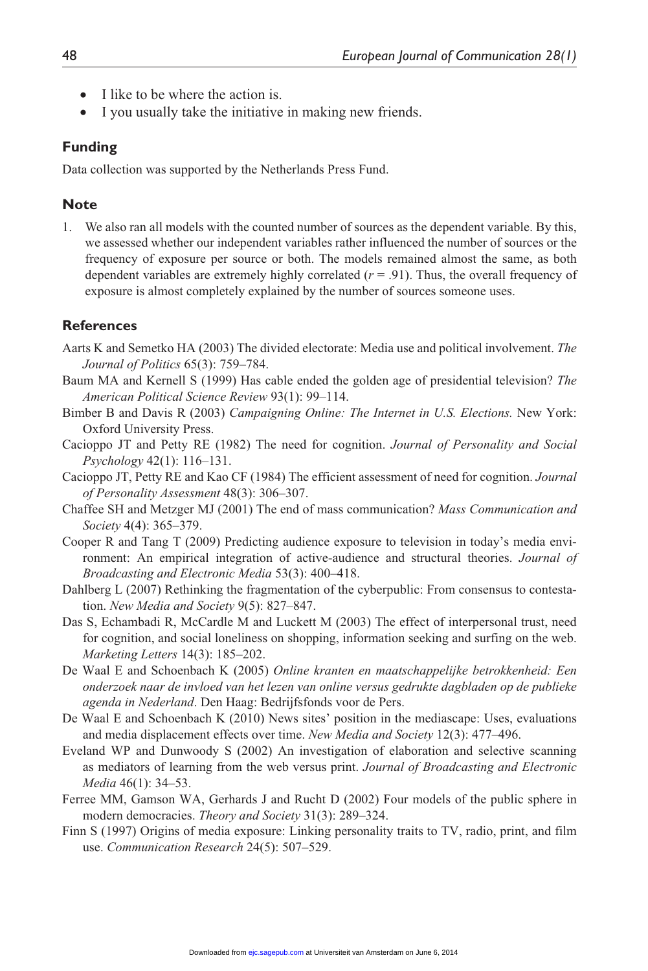- I like to be where the action is.
- I you usually take the initiative in making new friends.

### **Funding**

Data collection was supported by the Netherlands Press Fund.

### **Note**

1. We also ran all models with the counted number of sources as the dependent variable. By this, we assessed whether our independent variables rather influenced the number of sources or the frequency of exposure per source or both. The models remained almost the same, as both dependent variables are extremely highly correlated  $(r = .91)$ . Thus, the overall frequency of exposure is almost completely explained by the number of sources someone uses.

### **References**

- Aarts K and Semetko HA (2003) The divided electorate: Media use and political involvement. *The Journal of Politics* 65(3): 759–784.
- Baum MA and Kernell S (1999) Has cable ended the golden age of presidential television? *The American Political Science Review* 93(1): 99–114.
- Bimber B and Davis R (2003) *Campaigning Online: The Internet in U.S. Elections.* New York: Oxford University Press.
- Cacioppo JT and Petty RE (1982) The need for cognition. *Journal of Personality and Social Psychology* 42(1): 116–131.
- Cacioppo JT, Petty RE and Kao CF (1984) The efficient assessment of need for cognition. *Journal of Personality Assessment* 48(3): 306–307.
- Chaffee SH and Metzger MJ (2001) The end of mass communication? *Mass Communication and Society* 4(4): 365–379.
- Cooper R and Tang T (2009) Predicting audience exposure to television in today's media environment: An empirical integration of active-audience and structural theories. *Journal of Broadcasting and Electronic Media* 53(3): 400–418.
- Dahlberg L (2007) Rethinking the fragmentation of the cyberpublic: From consensus to contestation. *New Media and Society* 9(5): 827–847.
- Das S, Echambadi R, McCardle M and Luckett M (2003) The effect of interpersonal trust, need for cognition, and social loneliness on shopping, information seeking and surfing on the web. *Marketing Letters* 14(3): 185–202.
- De Waal E and Schoenbach K (2005) *Online kranten en maatschappelijke betrokkenheid: Een onderzoek naar de invloed van het lezen van online versus gedrukte dagbladen op de publieke agenda in Nederland*. Den Haag: Bedrijfsfonds voor de Pers.
- De Waal E and Schoenbach K (2010) News sites' position in the mediascape: Uses, evaluations and media displacement effects over time. *New Media and Society* 12(3): 477–496.
- Eveland WP and Dunwoody S (2002) An investigation of elaboration and selective scanning as mediators of learning from the web versus print. *Journal of Broadcasting and Electronic Media* 46(1): 34–53.
- Ferree MM, Gamson WA, Gerhards J and Rucht D (2002) Four models of the public sphere in modern democracies. *Theory and Society* 31(3): 289–324.
- Finn S (1997) Origins of media exposure: Linking personality traits to TV, radio, print, and film use. *Communication Research* 24(5): 507–529.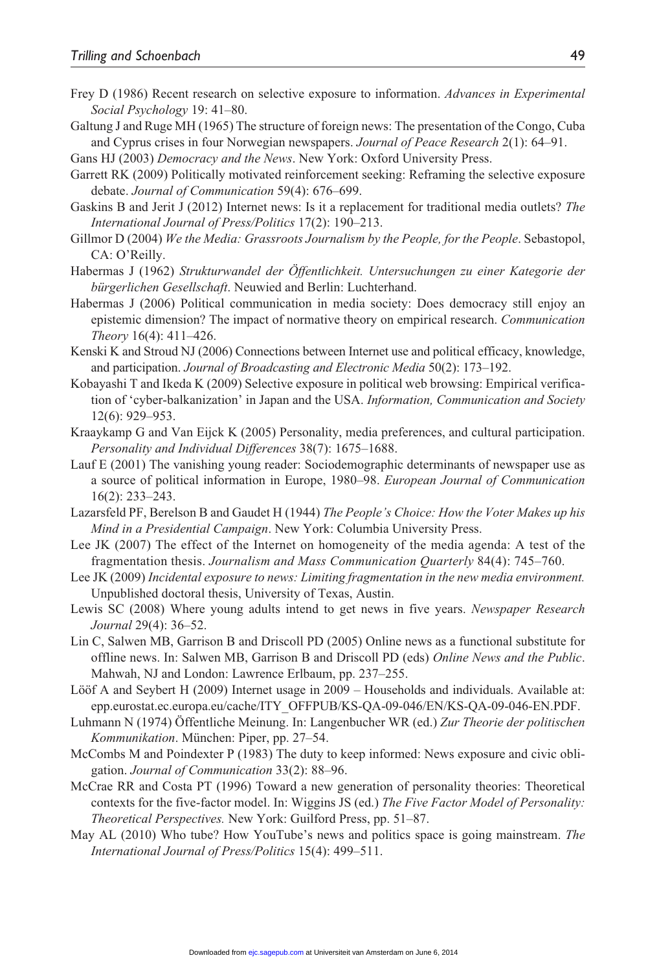- Frey D (1986) Recent research on selective exposure to information. *Advances in Experimental Social Psychology* 19: 41–80.
- Galtung J and Ruge MH (1965) The structure of foreign news: The presentation of the Congo, Cuba and Cyprus crises in four Norwegian newspapers. *Journal of Peace Research* 2(1): 64–91.

Gans HJ (2003) *Democracy and the News*. New York: Oxford University Press.

- Garrett RK (2009) Politically motivated reinforcement seeking: Reframing the selective exposure debate. *Journal of Communication* 59(4): 676–699.
- Gaskins B and Jerit J (2012) Internet news: Is it a replacement for traditional media outlets? *The International Journal of Press/Politics* 17(2): 190–213.
- Gillmor D (2004) *We the Media: Grassroots Journalism by the People, for the People*. Sebastopol, CA: O'Reilly.
- Habermas J (1962) *Strukturwandel der Öffentlichkeit. Untersuchungen zu einer Kategorie der bürgerlichen Gesellschaft*. Neuwied and Berlin: Luchterhand.
- Habermas J (2006) Political communication in media society: Does democracy still enjoy an epistemic dimension? The impact of normative theory on empirical research. *Communication Theory* 16(4): 411–426.
- Kenski K and Stroud NJ (2006) Connections between Internet use and political efficacy, knowledge, and participation. *Journal of Broadcasting and Electronic Media* 50(2): 173–192.
- Kobayashi T and Ikeda K (2009) Selective exposure in political web browsing: Empirical verification of 'cyber-balkanization' in Japan and the USA. *Information, Communication and Society* 12(6): 929–953.
- Kraaykamp G and Van Eijck K (2005) Personality, media preferences, and cultural participation. *Personality and Individual Differences* 38(7): 1675–1688.
- Lauf E (2001) The vanishing young reader: Sociodemographic determinants of newspaper use as a source of political information in Europe, 1980–98. *European Journal of Communication* 16(2): 233–243.
- Lazarsfeld PF, Berelson B and Gaudet H (1944) *The People's Choice: How the Voter Makes up his Mind in a Presidential Campaign*. New York: Columbia University Press.
- Lee JK (2007) The effect of the Internet on homogeneity of the media agenda: A test of the fragmentation thesis. *Journalism and Mass Communication Quarterly* 84(4): 745–760.
- Lee JK (2009) *Incidental exposure to news: Limiting fragmentation in the new media environment.* Unpublished doctoral thesis, University of Texas, Austin.
- Lewis SC (2008) Where young adults intend to get news in five years. *Newspaper Research Journal* 29(4): 36–52.
- Lin C, Salwen MB, Garrison B and Driscoll PD (2005) Online news as a functional substitute for offline news. In: Salwen MB, Garrison B and Driscoll PD (eds) *Online News and the Public*. Mahwah, NJ and London: Lawrence Erlbaum, pp. 237–255.
- Lööf A and Seybert H (2009) Internet usage in 2009 Households and individuals. Available at: epp.eurostat.ec.europa.eu/cache/ITY\_OFFPUB/KS-QA-09-046/EN/KS-QA-09-046-EN.PDF.
- Luhmann N (1974) Öffentliche Meinung. In: Langenbucher WR (ed.) *Zur Theorie der politischen Kommunikation*. München: Piper, pp. 27–54.
- McCombs M and Poindexter P (1983) The duty to keep informed: News exposure and civic obligation. *Journal of Communication* 33(2): 88–96.
- McCrae RR and Costa PT (1996) Toward a new generation of personality theories: Theoretical contexts for the five-factor model. In: Wiggins JS (ed.) *The Five Factor Model of Personality: Theoretical Perspectives.* New York: Guilford Press, pp. 51–87.
- May AL (2010) Who tube? How YouTube's news and politics space is going mainstream. *The International Journal of Press/Politics* 15(4): 499–511.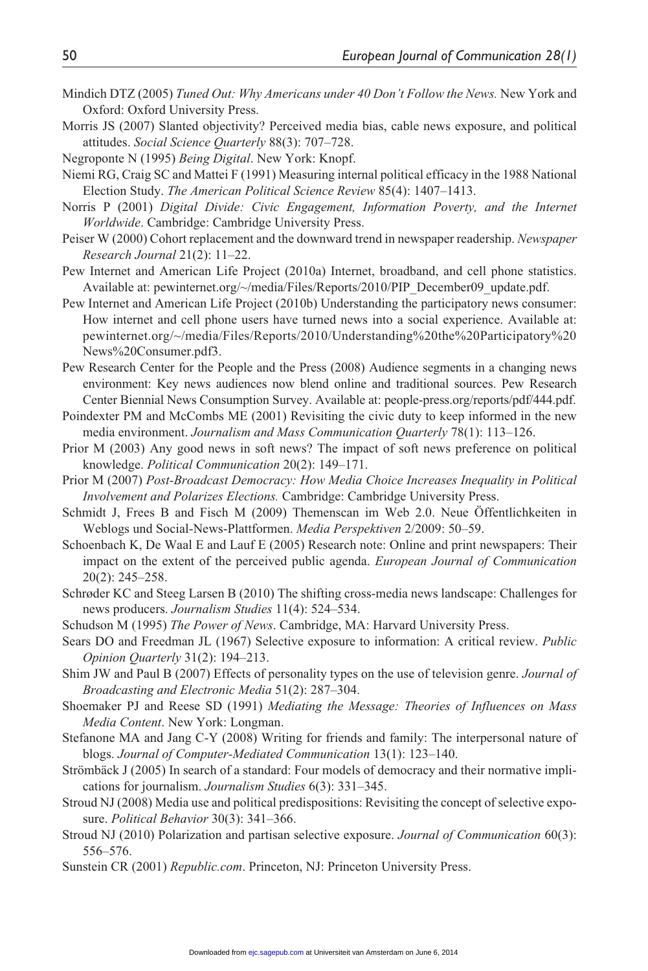- Mindich DTZ (2005) *Tuned Out: Why Americans under 40 Don't Follow the News.* New York and Oxford: Oxford University Press.
- Morris JS (2007) Slanted objectivity? Perceived media bias, cable news exposure, and political attitudes. *Social Science Quarterly* 88(3): 707–728.
- Negroponte N (1995) *Being Digital*. New York: Knopf.
- Niemi RG, Craig SC and Mattei F (1991) Measuring internal political efficacy in the 1988 National Election Study. *The American Political Science Review* 85(4): 1407–1413.
- Norris P (2001) *Digital Divide: Civic Engagement, Information Poverty, and the Internet Worldwide*. Cambridge: Cambridge University Press.
- Peiser W (2000) Cohort replacement and the downward trend in newspaper readership. *Newspaper Research Journal* 21(2): 11–22.
- Pew Internet and American Life Project (2010a) Internet, broadband, and cell phone statistics. Available at: pewinternet.org/~/media/Files/Reports/2010/PIP\_December09\_update.pdf.
- Pew Internet and American Life Project (2010b) Understanding the participatory news consumer: How internet and cell phone users have turned news into a social experience. Available at: pewinternet.org/~/media/Files/Reports/2010/Understanding%20the%20Participatory%20 News%20Consumer.pdf3.
- Pew Research Center for the People and the Press (2008) Audience segments in a changing news environment: Key news audiences now blend online and traditional sources. Pew Research Center Biennial News Consumption Survey. Available at: people-press.org/reports/pdf/444.pdf.
- Poindexter PM and McCombs ME (2001) Revisiting the civic duty to keep informed in the new media environment. *Journalism and Mass Communication Quarterly* 78(1): 113–126.
- Prior M (2003) Any good news in soft news? The impact of soft news preference on political knowledge. *Political Communication* 20(2): 149–171.
- Prior M (2007) *Post-Broadcast Democracy: How Media Choice Increases Inequality in Political Involvement and Polarizes Elections.* Cambridge: Cambridge University Press.
- Schmidt J, Frees B and Fisch M (2009) Themenscan im Web 2.0. Neue Öffentlichkeiten in Weblogs und Social-News-Plattformen. *Media Perspektiven* 2/2009: 50–59.
- Schoenbach K, De Waal E and Lauf E (2005) Research note: Online and print newspapers: Their impact on the extent of the perceived public agenda. *European Journal of Communication* 20(2): 245–258.
- Schrøder KC and Steeg Larsen B (2010) The shifting cross-media news landscape: Challenges for news producers. *Journalism Studies* 11(4): 524–534.
- Schudson M (1995) *The Power of News*. Cambridge, MA: Harvard University Press.
- Sears DO and Freedman JL (1967) Selective exposure to information: A critical review. *Public Opinion Quarterly* 31(2): 194–213.
- Shim JW and Paul B (2007) Effects of personality types on the use of television genre. *Journal of Broadcasting and Electronic Media* 51(2): 287–304.
- Shoemaker PJ and Reese SD (1991) *Mediating the Message: Theories of Influences on Mass Media Content*. New York: Longman.
- Stefanone MA and Jang C-Y (2008) Writing for friends and family: The interpersonal nature of blogs. *Journal of Computer-Mediated Communication* 13(1): 123–140.
- Strömbäck J (2005) In search of a standard: Four models of democracy and their normative implications for journalism. *Journalism Studies* 6(3): 331–345.
- Stroud NJ (2008) Media use and political predispositions: Revisiting the concept of selective exposure. *Political Behavior* 30(3): 341–366.
- Stroud NJ (2010) Polarization and partisan selective exposure. *Journal of Communication* 60(3): 556–576.
- Sunstein CR (2001) *Republic.com*. Princeton, NJ: Princeton University Press.